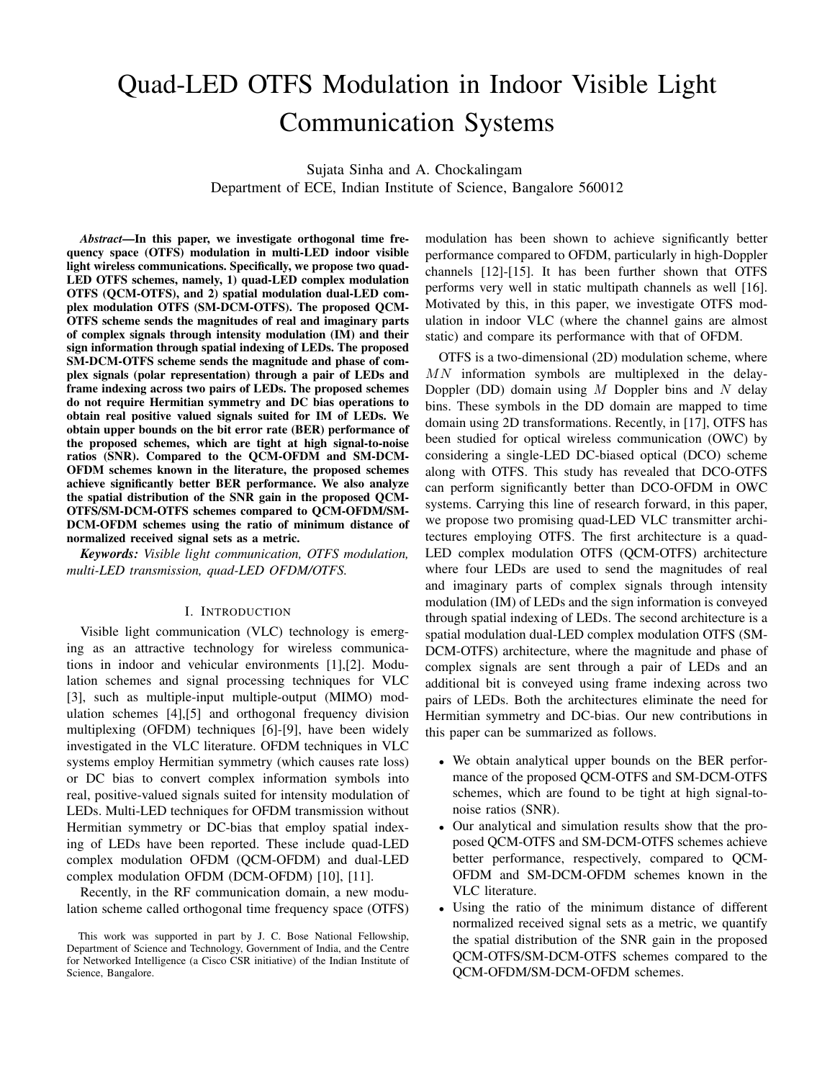# Quad-LED OTFS Modulation in Indoor Visible Light Communication Systems

Sujata Sinha and A. Chockalingam Department of ECE, Indian Institute of Science, Bangalore 560012

*Abstract*—In this paper, we investigate orthogonal time frequency space (OTFS) modulation in multi-LED indoor visible light wireless communications. Specifically, we propose two quad-LED OTFS schemes, namely, 1) quad-LED complex modulation OTFS (QCM-OTFS), and 2) spatial modulation dual-LED complex modulation OTFS (SM-DCM-OTFS). The proposed QCM-OTFS scheme sends the magnitudes of real and imaginary parts of complex signals through intensity modulation (IM) and their sign information through spatial indexing of LEDs. The proposed SM-DCM-OTFS scheme sends the magnitude and phase of complex signals (polar representation) through a pair of LEDs and frame indexing across two pairs of LEDs. The proposed schemes do not require Hermitian symmetry and DC bias operations to obtain real positive valued signals suited for IM of LEDs. We obtain upper bounds on the bit error rate (BER) performance of the proposed schemes, which are tight at high signal-to-noise ratios (SNR). Compared to the QCM-OFDM and SM-DCM-OFDM schemes known in the literature, the proposed schemes achieve significantly better BER performance. We also analyze the spatial distribution of the SNR gain in the proposed QCM-OTFS/SM-DCM-OTFS schemes compared to QCM-OFDM/SM-DCM-OFDM schemes using the ratio of minimum distance of normalized received signal sets as a metric.

*Keywords: Visible light communication, OTFS modulation, multi-LED transmission, quad-LED OFDM/OTFS.*

#### I. INTRODUCTION

Visible light communication (VLC) technology is emerging as an attractive technology for wireless communications in indoor and vehicular environments [1],[2]. Modulation schemes and signal processing techniques for VLC [3], such as multiple-input multiple-output (MIMO) modulation schemes [4],[5] and orthogonal frequency division multiplexing (OFDM) techniques [6]-[9], have been widely investigated in the VLC literature. OFDM techniques in VLC systems employ Hermitian symmetry (which causes rate loss) or DC bias to convert complex information symbols into real, positive-valued signals suited for intensity modulation of LEDs. Multi-LED techniques for OFDM transmission without Hermitian symmetry or DC-bias that employ spatial indexing of LEDs have been reported. These include quad-LED complex modulation OFDM (QCM-OFDM) and dual-LED complex modulation OFDM (DCM-OFDM) [10], [11].

Recently, in the RF communication domain, a new modulation scheme called orthogonal time frequency space (OTFS) modulation has been shown to achieve significantly better performance compared to OFDM, particularly in high-Doppler channels [12]-[15]. It has been further shown that OTFS performs very well in static multipath channels as well [16]. Motivated by this, in this paper, we investigate OTFS modulation in indoor VLC (where the channel gains are almost static) and compare its performance with that of OFDM.

OTFS is a two-dimensional (2D) modulation scheme, where  $MN$  information symbols are multiplexed in the delay-Doppler (DD) domain using  $M$  Doppler bins and  $N$  delay bins. These symbols in the DD domain are mapped to time domain using 2D transformations. Recently, in [17], OTFS has been studied for optical wireless communication (OWC) by considering a single-LED DC-biased optical (DCO) scheme along with OTFS. This study has revealed that DCO-OTFS can perform significantly better than DCO-OFDM in OWC systems. Carrying this line of research forward, in this paper, we propose two promising quad-LED VLC transmitter architectures employing OTFS. The first architecture is a quad-LED complex modulation OTFS (QCM-OTFS) architecture where four LEDs are used to send the magnitudes of real and imaginary parts of complex signals through intensity modulation (IM) of LEDs and the sign information is conveyed through spatial indexing of LEDs. The second architecture is a spatial modulation dual-LED complex modulation OTFS (SM-DCM-OTFS) architecture, where the magnitude and phase of complex signals are sent through a pair of LEDs and an additional bit is conveyed using frame indexing across two pairs of LEDs. Both the architectures eliminate the need for Hermitian symmetry and DC-bias. Our new contributions in this paper can be summarized as follows.

- We obtain analytical upper bounds on the BER performance of the proposed QCM-OTFS and SM-DCM-OTFS schemes, which are found to be tight at high signal-tonoise ratios (SNR).
- Our analytical and simulation results show that the proposed QCM-OTFS and SM-DCM-OTFS schemes achieve better performance, respectively, compared to QCM-OFDM and SM-DCM-OFDM schemes known in the VLC literature.
- Using the ratio of the minimum distance of different normalized received signal sets as a metric, we quantify the spatial distribution of the SNR gain in the proposed QCM-OTFS/SM-DCM-OTFS schemes compared to the QCM-OFDM/SM-DCM-OFDM schemes.

This work was supported in part by J. C. Bose National Fellowship, Department of Science and Technology, Government of India, and the Centre for Networked Intelligence (a Cisco CSR initiative) of the Indian Institute of Science, Bangalore.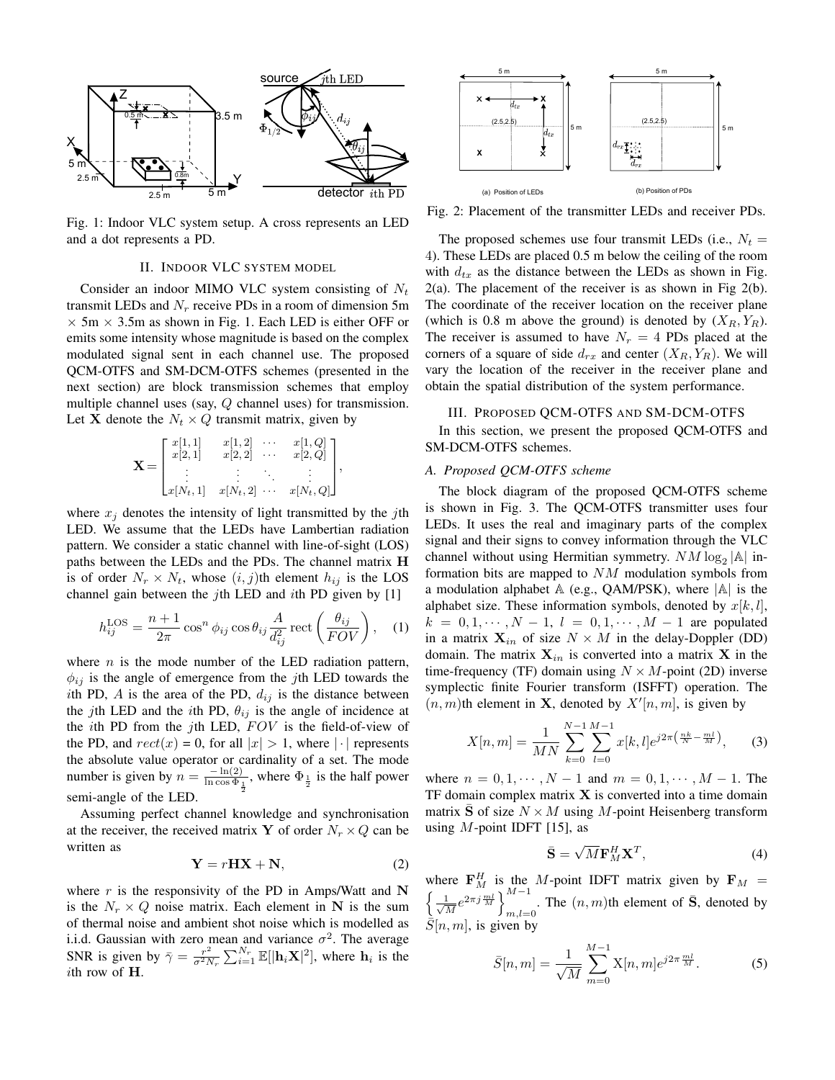

Fig. 1: Indoor VLC system setup. A cross represents an LED and a dot represents a PD.

# II. INDOOR VLC SYSTEM MODEL

Consider an indoor MIMO VLC system consisting of  $N_t$ transmit LEDs and  $N_r$  receive PDs in a room of dimension 5m  $\times$  5m  $\times$  3.5m as shown in Fig. 1. Each LED is either OFF or emits some intensity whose magnitude is based on the complex modulated signal sent in each channel use. The proposed QCM-OTFS and SM-DCM-OTFS schemes (presented in the next section) are block transmission schemes that employ multiple channel uses (say, Q channel uses) for transmission. Let **X** denote the  $N_t \times Q$  transmit matrix, given by

$$
\mathbf{X} = \begin{bmatrix} x[1,1] & x[1,2] & \cdots & x[1,Q] \\ x[2,1] & x[2,2] & \cdots & x[2,Q] \\ \vdots & \vdots & \ddots & \vdots \\ x[N_t,1] & x[N_t,2] & \cdots & x[N_t,Q] \end{bmatrix},
$$

where  $x_i$  denotes the intensity of light transmitted by the jth LED. We assume that the LEDs have Lambertian radiation pattern. We consider a static channel with line-of-sight (LOS) paths between the LEDs and the PDs. The channel matrix H is of order  $N_r \times N_t$ , whose  $(i, j)$ th element  $h_{ij}$  is the LOS channel gain between the *j*th LED and *i*th PD given by [1]

$$
h_{ij}^{\text{LOS}} = \frac{n+1}{2\pi} \cos^n \phi_{ij} \cos \theta_{ij} \frac{A}{d_{ij}^2} \text{rect}\left(\frac{\theta_{ij}}{FOV}\right), \quad (1)
$$

where  $n$  is the mode number of the LED radiation pattern,  $\phi_{ij}$  is the angle of emergence from the *j*th LED towards the ith PD,  $\vec{A}$  is the area of the PD,  $d_{ij}$  is the distance between the jth LED and the ith PD,  $\theta_{ij}$  is the angle of incidence at the *i*th PD from the *j*th LED,  $FOV$  is the field-of-view of the PD, and  $rect(x) = 0$ , for all  $|x| > 1$ , where  $|\cdot|$  represents the absolute value operator or cardinality of a set. The mode number is given by  $n = \frac{-\ln(2)}{\ln \cos \Phi}$  $\frac{-\ln(2)}{\ln \cos \Phi_{\frac{1}{2}}}$ , where  $\Phi_{\frac{1}{2}}$  is the half power semi-angle of the LED.

Assuming perfect channel knowledge and synchronisation at the receiver, the received matrix Y of order  $N_r \times Q$  can be written as

$$
Y = rHX + N,\t(2)
$$

where  $r$  is the responsivity of the PD in Amps/Watt and N is the  $N_r \times Q$  noise matrix. Each element in N is the sum of thermal noise and ambient shot noise which is modelled as i.i.d. Gaussian with zero mean and variance  $\sigma^2$ . The average SNR is given by  $\bar{\gamma} = \frac{r^2}{\sigma^2 N}$  $\frac{r^2}{\sigma^2 N_r} \sum_{i=1}^{N_r} \mathbb{E}[|\mathbf{h}_i \mathbf{X}|^2]$ , where  $\mathbf{h}_i$  is the ith row of H.



Fig. 2: Placement of the transmitter LEDs and receiver PDs.

The proposed schemes use four transmit LEDs (i.e.,  $N_t =$ 4). These LEDs are placed 0.5 m below the ceiling of the room with  $d_{tx}$  as the distance between the LEDs as shown in Fig. 2(a). The placement of the receiver is as shown in Fig 2(b). The coordinate of the receiver location on the receiver plane (which is 0.8 m above the ground) is denoted by  $(X_R, Y_R)$ . The receiver is assumed to have  $N_r = 4$  PDs placed at the corners of a square of side  $d_{rx}$  and center  $(X_R, Y_R)$ . We will vary the location of the receiver in the receiver plane and obtain the spatial distribution of the system performance.

# III. PROPOSED QCM-OTFS AND SM-DCM-OTFS

In this section, we present the proposed QCM-OTFS and SM-DCM-OTFS schemes.

# *A. Proposed QCM-OTFS scheme*

The block diagram of the proposed QCM-OTFS scheme is shown in Fig. 3. The QCM-OTFS transmitter uses four LEDs. It uses the real and imaginary parts of the complex signal and their signs to convey information through the VLC channel without using Hermitian symmetry.  $NM \log_2 |\mathbb{A}|$  information bits are mapped to NM modulation symbols from a modulation alphabet  $A$  (e.g., QAM/PSK), where  $|A|$  is the alphabet size. These information symbols, denoted by  $x[k, l]$ ,  $k = 0, 1, \dots, N - 1, l = 0, 1, \dots, M - 1$  are populated in a matrix  $\mathbf{X}_{in}$  of size  $N \times M$  in the delay-Doppler (DD) domain. The matrix  $X_{in}$  is converted into a matrix X in the time-frequency (TF) domain using  $N \times M$ -point (2D) inverse symplectic finite Fourier transform (ISFFT) operation. The  $(n, m)$ th element in **X**, denoted by  $X'[n, m]$ , is given by

$$
X[n,m] = \frac{1}{MN} \sum_{k=0}^{N-1} \sum_{l=0}^{M-1} x[k,l] e^{j2\pi \left(\frac{nk}{N} - \frac{ml}{M}\right)},\qquad(3)
$$

where  $n = 0, 1, \dots, N - 1$  and  $m = 0, 1, \dots, M - 1$ . The TF domain complex matrix  $X$  is converted into a time domain matrix S of size  $N \times M$  using M-point Heisenberg transform using  $M$ -point IDFT [15], as

$$
\bar{\mathbf{S}} = \sqrt{M} \mathbf{F}_M^H \mathbf{X}^T,\tag{4}
$$

where  $\mathbf{F}_{M}^{H}$  is the M-point IDFT matrix given by  $\mathbf{F}_{M}$  =  $\left(\frac{1}{2}\right)$  $\frac{1}{M}e^{2\pi j\frac{ml}{M}}\bigg\}_{m=1}^{M-1}$  $\sum_{m,l=0}^{n+1}$ . The  $(n,m)$ th element of  $\bar{S}$ , denoted by  $\overline{S}[n, m]$ , is given by

$$
\bar{S}[n,m] = \frac{1}{\sqrt{M}} \sum_{m=0}^{M-1} \mathbf{X}[n,m] e^{j2\pi \frac{ml}{M}}.
$$
 (5)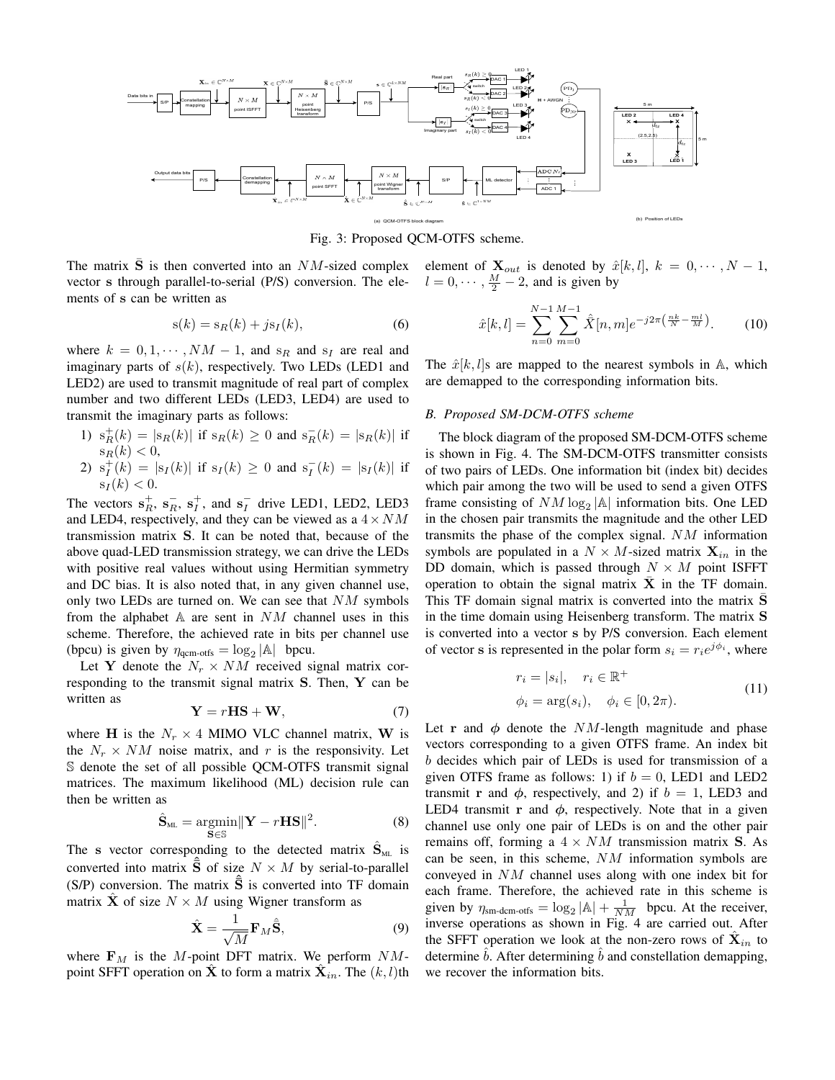

Fig. 3: Proposed QCM-OTFS scheme.

The matrix  $\bar{S}$  is then converted into an  $NM$ -sized complex vector s through parallel-to-serial (P/S) conversion. The elements of s can be written as

$$
s(k) = s_R(k) + j s_I(k),\tag{6}
$$

where  $k = 0, 1, \dots, NM - 1$ , and  $s_R$  and  $s_I$  are real and imaginary parts of  $s(k)$ , respectively. Two LEDs (LED1 and LED2) are used to transmit magnitude of real part of complex number and two different LEDs (LED3, LED4) are used to transmit the imaginary parts as follows:

- 1)  $s_R^+(k) = |s_R(k)|$  if  $s_R(k) \ge 0$  and  $s_R^-(k) = |s_R(k)|$  if  $s_R(k) < 0$ ,
- 2)  $s_I^+(k) = |s_I(k)|$  if  $s_I(k) \ge 0$  and  $s_I^-(k) = |s_I(k)|$  if  $s_I(k) < 0.$

The vectors  $\mathbf{s}_R^+$ ,  $\mathbf{s}_R^-$ ,  $\mathbf{s}_I^+$ , and  $\mathbf{s}_I^-$  drive LED1, LED2, LED3 and LED4, respectively, and they can be viewed as a  $4 \times NM$ transmission matrix S. It can be noted that, because of the above quad-LED transmission strategy, we can drive the LEDs with positive real values without using Hermitian symmetry and DC bias. It is also noted that, in any given channel use, only two LEDs are turned on. We can see that  $NM$  symbols from the alphabet  $A$  are sent in  $NM$  channel uses in this scheme. Therefore, the achieved rate in bits per channel use (bpcu) is given by  $\eta_{\text{qcm-offs}} = \log_2 |\mathbb{A}|$  bpcu.

Let Y denote the  $N_r \times NM$  received signal matrix corresponding to the transmit signal matrix S. Then, Y can be written as

$$
Y = rHS + W, \tag{7}
$$

where H is the  $N_r \times 4$  MIMO VLC channel matrix, W is the  $N_r \times NM$  noise matrix, and r is the responsivity. Let S denote the set of all possible QCM-OTFS transmit signal matrices. The maximum likelihood (ML) decision rule can then be written as

$$
\hat{\mathbf{S}}_{ML} = \underset{\mathbf{S} \in \mathbb{S}}{\operatorname{argmin}} ||\mathbf{Y} - r\mathbf{H}\mathbf{S}||^2. \tag{8}
$$

The s vector corresponding to the detected matrix  $\hat{S}_{ML}$  is converted into matrix  $\hat{\bar{S}}$  of size  $N \times M$  by serial-to-parallel (S/P) conversion. The matrix  $\hat{\bar{S}}$  is converted into TF domain matrix **X** of size  $N \times M$  using Wigner transform as

$$
\hat{\mathbf{X}} = \frac{1}{\sqrt{M}} \mathbf{F}_M \hat{\mathbf{S}},\tag{9}
$$

where  $\mathbf{F}_M$  is the M-point DFT matrix. We perform  $NM$ point SFFT operation on  $\hat{\mathbf{X}}$  to form a matrix  $\hat{\mathbf{X}}_{in}$ . The  $(k, l)$ th element of  $\mathbf{X}_{out}$  is denoted by  $\hat{x}[k, l], k = 0, \cdots, N - 1$ ,  $l = 0, \dots, \frac{M}{2} - 2$ , and is given by

$$
\hat{x}[k,l] = \sum_{n=0}^{N-1} \sum_{m=0}^{M-1} \hat{\bar{X}}[n,m] e^{-j2\pi \left(\frac{nk}{N} - \frac{ml}{M}\right)}.
$$
 (10)

The  $\hat{x}[k, l]$ s are mapped to the nearest symbols in A, which are demapped to the corresponding information bits.

## *B. Proposed SM-DCM-OTFS scheme*

The block diagram of the proposed SM-DCM-OTFS scheme is shown in Fig. 4. The SM-DCM-OTFS transmitter consists of two pairs of LEDs. One information bit (index bit) decides which pair among the two will be used to send a given OTFS frame consisting of  $NM \log_2 |\mathbb{A}|$  information bits. One LED in the chosen pair transmits the magnitude and the other LED transmits the phase of the complex signal. NM information symbols are populated in a  $N \times M$ -sized matrix  $\mathbf{X}_{in}$  in the DD domain, which is passed through  $N \times M$  point ISFFT operation to obtain the signal matrix  $\bar{\mathbf{X}}$  in the TF domain. This TF domain signal matrix is converted into the matrix S in the time domain using Heisenberg transform. The matrix S is converted into a vector s by P/S conversion. Each element of vector s is represented in the polar form  $s_i = r_i e^{j\phi_i}$ , where

$$
r_i = |s_i|, \quad r_i \in \mathbb{R}^+
$$
  
\n
$$
\phi_i = \arg(s_i), \quad \phi_i \in [0, 2\pi).
$$
\n(11)

Let r and  $\phi$  denote the NM-length magnitude and phase vectors corresponding to a given OTFS frame. An index bit b decides which pair of LEDs is used for transmission of a given OTFS frame as follows: 1) if  $b = 0$ , LED1 and LED2 transmit r and  $\phi$ , respectively, and 2) if  $b = 1$ , LED3 and LED4 transmit r and  $\phi$ , respectively. Note that in a given channel use only one pair of LEDs is on and the other pair remains off, forming a  $4 \times NM$  transmission matrix S. As can be seen, in this scheme, NM information symbols are conveyed in NM channel uses along with one index bit for each frame. Therefore, the achieved rate in this scheme is given by  $\eta_{\text{sm-dem-offs}} = \log_2 |\mathbb{A}| + \frac{1}{NM}$  bpcu. At the receiver, inverse operations as shown in Fig. 4 are carried out. After the SFFT operation we look at the non-zero rows of  $\hat{\mathbf{X}}_{in}$  to determine  $b$ . After determining  $b$  and constellation demapping, we recover the information bits.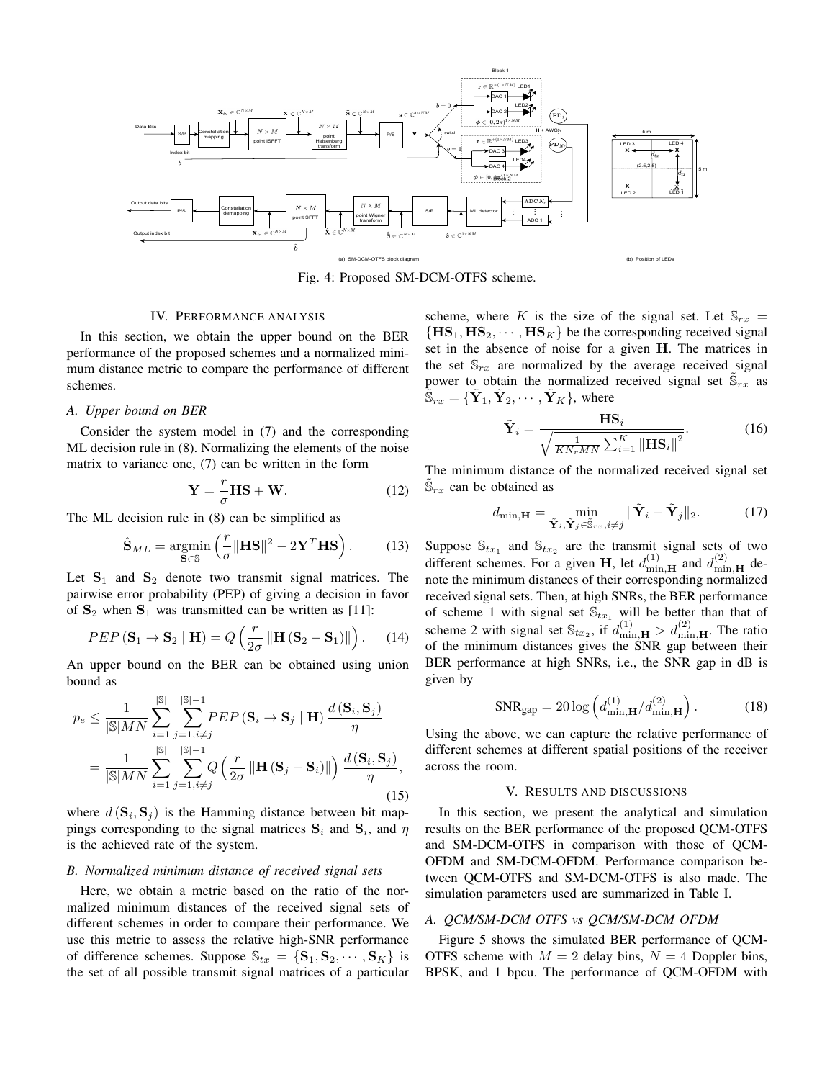

Fig. 4: Proposed SM-DCM-OTFS scheme.

#### IV. PERFORMANCE ANALYSIS

In this section, we obtain the upper bound on the BER performance of the proposed schemes and a normalized minimum distance metric to compare the performance of different schemes.

## *A. Upper bound on BER*

Consider the system model in (7) and the corresponding ML decision rule in (8). Normalizing the elements of the noise matrix to variance one, (7) can be written in the form

$$
\mathbf{Y} = -\frac{r}{\sigma} \mathbf{H} \mathbf{S} + \mathbf{W}.
$$
 (12)

The ML decision rule in (8) can be simplified as

$$
\hat{\mathbf{S}}_{ML} = \underset{\mathbf{S} \in \mathbb{S}}{\operatorname{argmin}} \left( \frac{r}{\sigma} \|\mathbf{H}\mathbf{S}\|^2 - 2\mathbf{Y}^T \mathbf{H}\mathbf{S} \right). \tag{13}
$$

Let  $S_1$  and  $S_2$  denote two transmit signal matrices. The pairwise error probability (PEP) of giving a decision in favor of  $S_2$  when  $S_1$  was transmitted can be written as [11]:

$$
PEP\left(\mathbf{S}_1 \rightarrow \mathbf{S}_2 \mid \mathbf{H}\right) = Q\left(\frac{r}{2\sigma} \left\| \mathbf{H}\left(\mathbf{S}_2 - \mathbf{S}_1\right) \right\|\right). \tag{14}
$$

An upper bound on the BER can be obtained using union bound as

$$
p_e \leq \frac{1}{|\mathbb{S}|MN} \sum_{i=1}^{|\mathbb{S}|} \sum_{j=1, i \neq j}^{|\mathbb{S}|-1} PEP\left(\mathbf{S}_i \to \mathbf{S}_j \mid \mathbf{H}\right) \frac{d\left(\mathbf{S}_i, \mathbf{S}_j\right)}{\eta}
$$

$$
= \frac{1}{|\mathbb{S}|MN} \sum_{i=1}^{|\mathbb{S}|} \sum_{j=1, i \neq j}^{|\mathbb{S}|-1} Q\left(\frac{r}{2\sigma} \left\| \mathbf{H}\left(\mathbf{S}_j - \mathbf{S}_i\right) \right\|\right) \frac{d\left(\mathbf{S}_i, \mathbf{S}_j\right)}{\eta},\tag{15}
$$

where  $d(\mathbf{S}_i, \mathbf{S}_j)$  is the Hamming distance between bit mappings corresponding to the signal matrices  $S_i$  and  $S_i$ , and  $\eta$ is the achieved rate of the system.

## *B. Normalized minimum distance of received signal sets*

Here, we obtain a metric based on the ratio of the normalized minimum distances of the received signal sets of different schemes in order to compare their performance. We use this metric to assess the relative high-SNR performance of difference schemes. Suppose  $\mathbb{S}_{tx} = \{S_1, S_2, \cdots, S_K\}$  is the set of all possible transmit signal matrices of a particular

scheme, where K is the size of the signal set. Let  $\mathbb{S}_{rx}$  =  ${H}S_1, HS_2, \cdots, HS_K$  be the corresponding received signal set in the absence of noise for a given H. The matrices in the set  $\mathbb{S}_{rx}$  are normalized by the average received signal power to obtain the normalized received signal set  $\tilde{\mathbb{S}}_{rx}$  as  $\tilde{\mathbb{S}}_{rx} = \{ \tilde{\mathbf{Y}}_1, \tilde{\mathbf{Y}}_2, \cdots, \tilde{\mathbf{Y}}_K \}, \text{ where }$ 

$$
\tilde{\mathbf{Y}}_{i} = \frac{\mathbf{H}\mathbf{S}_{i}}{\sqrt{\frac{1}{KN_{r}MN}\sum_{i=1}^{K} \left\|\mathbf{H}\mathbf{S}_{i}\right\|^{2}}}.
$$
 (16)

The minimum distance of the normalized received signal set  $\tilde{\mathbb{S}}_{rx}$  can be obtained as

$$
d_{\min, \mathbf{H}} = \min_{\tilde{\mathbf{Y}}_i, \tilde{\mathbf{Y}}_j \in \tilde{\mathbb{S}}_{rx}, i \neq j} \|\tilde{\mathbf{Y}}_i - \tilde{\mathbf{Y}}_j\|_2.
$$
 (17)

Suppose  $\mathbb{S}_{tx_1}$  and  $\mathbb{S}_{tx_2}$  are the transmit signal sets of two different schemes. For a given H, let  $d_{\min,\mathbf{H}}^{(1)}$  and  $d_{\min,\mathbf{H}}^{(2)}$  denote the minimum distances of their corresponding normalized received signal sets. Then, at high SNRs, the BER performance of scheme 1 with signal set  $\mathbb{S}_{tx_1}$  will be better than that of scheme 2 with signal set  $\mathbb{S}_{tx_2}$ , if  $d_{\min,\mathbf{H}}^{(1)} > d_{\min,\mathbf{H}}^{(2)}$ . The ratio of the minimum distances gives the SNR gap between their BER performance at high SNRs, i.e., the SNR gap in dB is given by

$$
\text{SNR}_{\text{gap}} = 20 \log \left( d_{\min, \mathbf{H}}^{(1)} / d_{\min, \mathbf{H}}^{(2)} \right). \tag{18}
$$

Using the above, we can capture the relative performance of different schemes at different spatial positions of the receiver across the room.

#### V. RESULTS AND DISCUSSIONS

In this section, we present the analytical and simulation results on the BER performance of the proposed QCM-OTFS and SM-DCM-OTFS in comparison with those of QCM-OFDM and SM-DCM-OFDM. Performance comparison between QCM-OTFS and SM-DCM-OTFS is also made. The simulation parameters used are summarized in Table I.

# *A. QCM/SM-DCM OTFS vs QCM/SM-DCM OFDM*

Figure 5 shows the simulated BER performance of QCM-OTFS scheme with  $M = 2$  delay bins,  $N = 4$  Doppler bins, BPSK, and 1 bpcu. The performance of QCM-OFDM with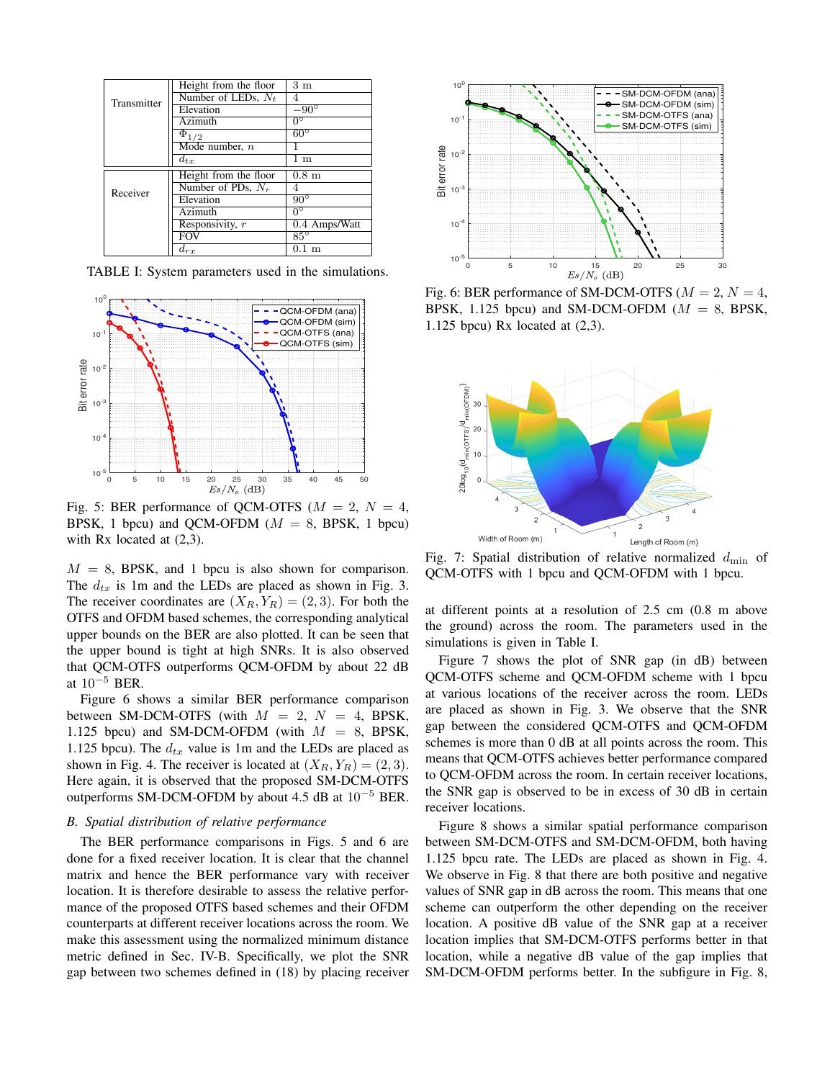| Transmitter | Height from the floor | 3m                     |
|-------------|-----------------------|------------------------|
|             | Number of LEDs, $N_t$ |                        |
|             | Elevation             | $-90^{\circ}$          |
|             | Azimuth               | $0^{\circ}$            |
|             | $\Phi_{1/2}$          | $60^{\circ}$           |
|             | Mode number, $n$      |                        |
|             | $d_{tx}$              | $\overline{1}$ m       |
| Receiver    | Height from the floor | $0.8~\mathrm{m}$       |
|             | Number of PDs, $N_r$  | 4                      |
|             | Elevation             | $90^{\circ}$           |
|             | Azimuth               | $\overline{0^{\circ}}$ |
|             | Responsivity, $r$     | $0.4$ Amps/Watt        |
|             | <b>FOV</b>            | $85^\circ$             |
|             | $d_{rx}$              | m                      |

TABLE I: System parameters used in the simulations.



Fig. 5: BER performance of QCM-OTFS ( $M = 2$ ,  $N = 4$ , BPSK, 1 bpcu) and QCM-OFDM ( $M = 8$ , BPSK, 1 bpcu) with Rx located at (2,3).

 $M = 8$ , BPSK, and 1 bpcu is also shown for comparison. The  $d_{tx}$  is 1m and the LEDs are placed as shown in Fig. 3. The receiver coordinates are  $(X_R, Y_R) = (2, 3)$ . For both the OTFS and OFDM based schemes, the corresponding analytical upper bounds on the BER are also plotted. It can be seen that the upper bound is tight at high SNRs. It is also observed that QCM-OTFS outperforms QCM-OFDM by about 22 dB at  $10^{-5}$  BER.

Figure 6 shows a similar BER performance comparison between SM-DCM-OTFS (with  $M = 2$ ,  $N = 4$ , BPSK, 1.125 bpcu) and SM-DCM-OFDM (with  $M = 8$ , BPSK, 1.125 bpcu). The  $d_{tx}$  value is 1m and the LEDs are placed as shown in Fig. 4. The receiver is located at  $(X_R, Y_R) = (2, 3)$ . Here again, it is observed that the proposed SM-DCM-OTFS outperforms SM-DCM-OFDM by about 4.5 dB at  $10^{-5}$  BER.

## *B. Spatial distribution of relative performance*

The BER performance comparisons in Figs. 5 and 6 are done for a fixed receiver location. It is clear that the channel matrix and hence the BER performance vary with receiver location. It is therefore desirable to assess the relative performance of the proposed OTFS based schemes and their OFDM counterparts at different receiver locations across the room. We make this assessment using the normalized minimum distance metric defined in Sec. IV-B. Specifically, we plot the SNR gap between two schemes defined in (18) by placing receiver



Fig. 6: BER performance of SM-DCM-OTFS ( $M = 2$ ,  $N = 4$ , BPSK, 1.125 bpcu) and SM-DCM-OFDM ( $M = 8$ , BPSK, 1.125 bpcu) Rx located at (2,3).



Fig. 7: Spatial distribution of relative normalized  $d_{\min}$  of QCM-OTFS with 1 bpcu and QCM-OFDM with 1 bpcu.

at different points at a resolution of 2.5 cm (0.8 m above the ground) across the room. The parameters used in the simulations is given in Table I.

Figure 7 shows the plot of SNR gap (in dB) between QCM-OTFS scheme and QCM-OFDM scheme with 1 bpcu at various locations of the receiver across the room. LEDs are placed as shown in Fig. 3. We observe that the SNR gap between the considered QCM-OTFS and QCM-OFDM schemes is more than 0 dB at all points across the room. This means that QCM-OTFS achieves better performance compared to QCM-OFDM across the room. In certain receiver locations, the SNR gap is observed to be in excess of 30 dB in certain receiver locations.

Figure 8 shows a similar spatial performance comparison between SM-DCM-OTFS and SM-DCM-OFDM, both having 1.125 bpcu rate. The LEDs are placed as shown in Fig. 4. We observe in Fig. 8 that there are both positive and negative values of SNR gap in dB across the room. This means that one scheme can outperform the other depending on the receiver location. A positive dB value of the SNR gap at a receiver location implies that SM-DCM-OTFS performs better in that location, while a negative dB value of the gap implies that SM-DCM-OFDM performs better. In the subfigure in Fig. 8,